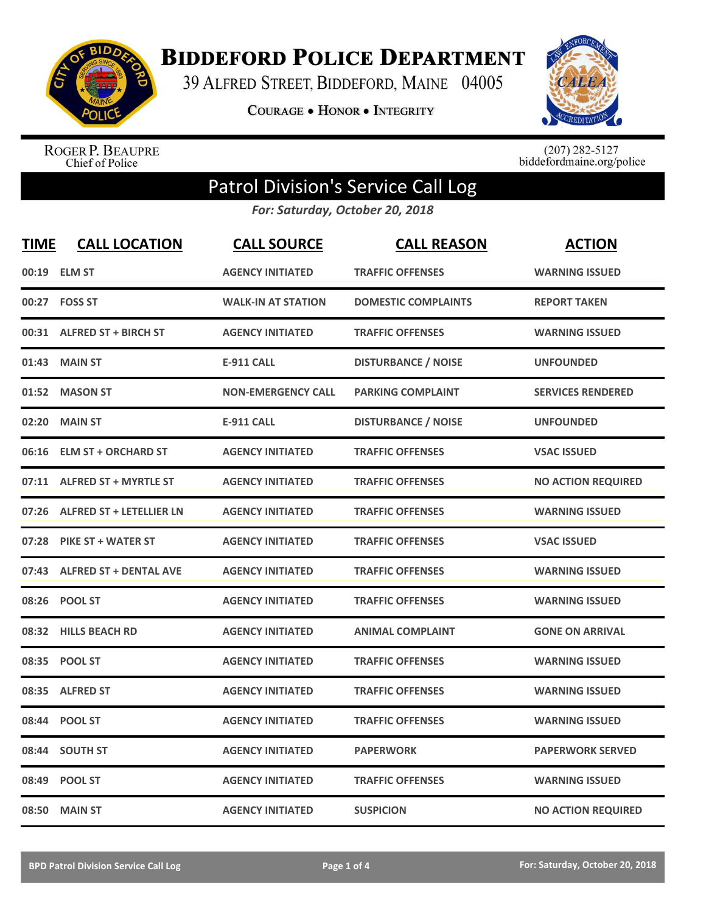

**BIDDEFORD POLICE DEPARTMENT** 

39 ALFRED STREET, BIDDEFORD, MAINE 04005

**COURAGE . HONOR . INTEGRITY** 



ROGER P. BEAUPRE<br>Chief of Police

 $(207)$  282-5127<br>biddefordmaine.org/police

## Patrol Division's Service Call Log

*For: Saturday, October 20, 2018*

| <b>TIME</b> | <b>CALL LOCATION</b>            | <b>CALL SOURCE</b>        | <b>CALL REASON</b>         | <b>ACTION</b>             |
|-------------|---------------------------------|---------------------------|----------------------------|---------------------------|
| 00:19       | <b>ELM ST</b>                   | <b>AGENCY INITIATED</b>   | <b>TRAFFIC OFFENSES</b>    | <b>WARNING ISSUED</b>     |
|             | 00:27 FOSS ST                   | <b>WALK-IN AT STATION</b> | <b>DOMESTIC COMPLAINTS</b> | <b>REPORT TAKEN</b>       |
|             | 00:31 ALFRED ST + BIRCH ST      | <b>AGENCY INITIATED</b>   | <b>TRAFFIC OFFENSES</b>    | <b>WARNING ISSUED</b>     |
| 01:43       | <b>MAIN ST</b>                  | <b>E-911 CALL</b>         | <b>DISTURBANCE / NOISE</b> | <b>UNFOUNDED</b>          |
| 01:52       | <b>MASON ST</b>                 | <b>NON-EMERGENCY CALL</b> | <b>PARKING COMPLAINT</b>   | <b>SERVICES RENDERED</b>  |
| 02:20       | <b>MAIN ST</b>                  | <b>E-911 CALL</b>         | <b>DISTURBANCE / NOISE</b> | <b>UNFOUNDED</b>          |
| 06:16       | <b>ELM ST + ORCHARD ST</b>      | <b>AGENCY INITIATED</b>   | <b>TRAFFIC OFFENSES</b>    | <b>VSAC ISSUED</b>        |
|             | 07:11 ALFRED ST + MYRTLE ST     | <b>AGENCY INITIATED</b>   | <b>TRAFFIC OFFENSES</b>    | <b>NO ACTION REQUIRED</b> |
| 07:26       | <b>ALFRED ST + LETELLIER LN</b> | <b>AGENCY INITIATED</b>   | <b>TRAFFIC OFFENSES</b>    | <b>WARNING ISSUED</b>     |
| 07:28       | <b>PIKE ST + WATER ST</b>       | <b>AGENCY INITIATED</b>   | <b>TRAFFIC OFFENSES</b>    | <b>VSAC ISSUED</b>        |
|             | 07:43 ALFRED ST + DENTAL AVE    | <b>AGENCY INITIATED</b>   | <b>TRAFFIC OFFENSES</b>    | <b>WARNING ISSUED</b>     |
| 08:26       | <b>POOL ST</b>                  | <b>AGENCY INITIATED</b>   | <b>TRAFFIC OFFENSES</b>    | <b>WARNING ISSUED</b>     |
| 08:32       | <b>HILLS BEACH RD</b>           | <b>AGENCY INITIATED</b>   | <b>ANIMAL COMPLAINT</b>    | <b>GONE ON ARRIVAL</b>    |
| 08:35       | <b>POOL ST</b>                  | <b>AGENCY INITIATED</b>   | <b>TRAFFIC OFFENSES</b>    | <b>WARNING ISSUED</b>     |
|             | 08:35 ALFRED ST                 | <b>AGENCY INITIATED</b>   | <b>TRAFFIC OFFENSES</b>    | <b>WARNING ISSUED</b>     |
| 08:44       | <b>POOL ST</b>                  | <b>AGENCY INITIATED</b>   | <b>TRAFFIC OFFENSES</b>    | <b>WARNING ISSUED</b>     |
| 08:44       | <b>SOUTH ST</b>                 | <b>AGENCY INITIATED</b>   | <b>PAPERWORK</b>           | <b>PAPERWORK SERVED</b>   |
| 08:49       | <b>POOL ST</b>                  | <b>AGENCY INITIATED</b>   | <b>TRAFFIC OFFENSES</b>    | <b>WARNING ISSUED</b>     |
|             | 08:50 MAIN ST                   | <b>AGENCY INITIATED</b>   | <b>SUSPICION</b>           | <b>NO ACTION REQUIRED</b> |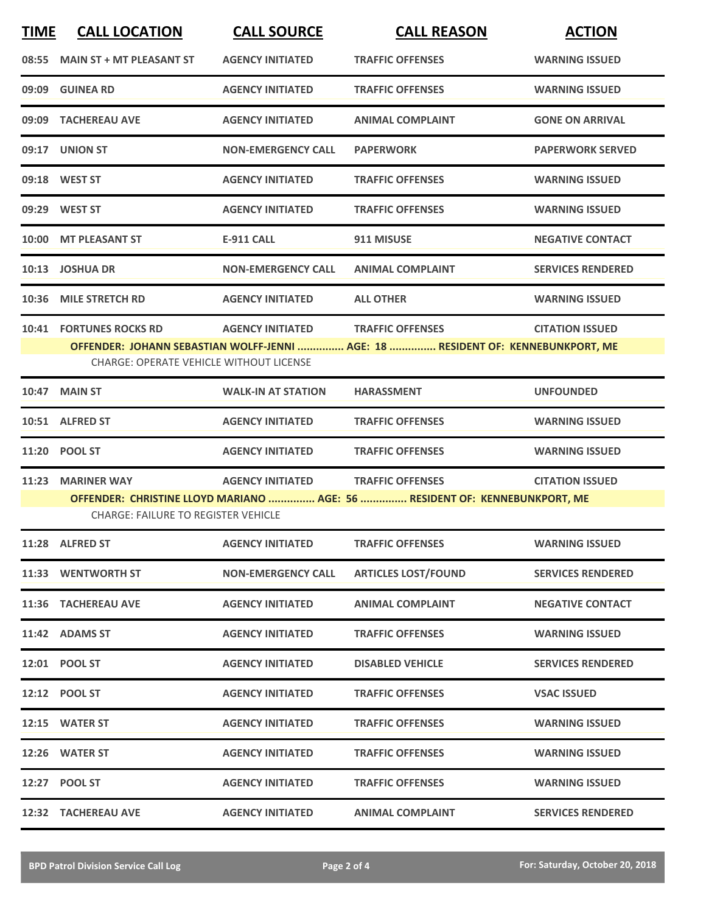| <b>TIME</b> | <b>CALL LOCATION</b>                                                                                                                                                                                                                          | <b>CALL SOURCE</b>        | <b>CALL REASON</b>         | <b>ACTION</b>            |  |
|-------------|-----------------------------------------------------------------------------------------------------------------------------------------------------------------------------------------------------------------------------------------------|---------------------------|----------------------------|--------------------------|--|
|             | 08:55 MAIN ST + MT PLEASANT ST                                                                                                                                                                                                                | <b>AGENCY INITIATED</b>   | <b>TRAFFIC OFFENSES</b>    | <b>WARNING ISSUED</b>    |  |
| 09:09       | <b>GUINEA RD</b>                                                                                                                                                                                                                              | <b>AGENCY INITIATED</b>   | <b>TRAFFIC OFFENSES</b>    | <b>WARNING ISSUED</b>    |  |
|             | 09:09 TACHEREAU AVE                                                                                                                                                                                                                           | <b>AGENCY INITIATED</b>   | <b>ANIMAL COMPLAINT</b>    | <b>GONE ON ARRIVAL</b>   |  |
|             | 09:17 UNION ST                                                                                                                                                                                                                                | <b>NON-EMERGENCY CALL</b> | <b>PAPERWORK</b>           | <b>PAPERWORK SERVED</b>  |  |
|             | 09:18 WEST ST                                                                                                                                                                                                                                 | <b>AGENCY INITIATED</b>   | <b>TRAFFIC OFFENSES</b>    | <b>WARNING ISSUED</b>    |  |
|             | 09:29 WEST ST                                                                                                                                                                                                                                 | <b>AGENCY INITIATED</b>   | <b>TRAFFIC OFFENSES</b>    | <b>WARNING ISSUED</b>    |  |
| 10:00       | <b>MT PLEASANT ST</b>                                                                                                                                                                                                                         | <b>E-911 CALL</b>         | 911 MISUSE                 | <b>NEGATIVE CONTACT</b>  |  |
|             | 10:13 JOSHUA DR                                                                                                                                                                                                                               | <b>NON-EMERGENCY CALL</b> | <b>ANIMAL COMPLAINT</b>    | <b>SERVICES RENDERED</b> |  |
| 10:36       | <b>MILE STRETCH RD</b>                                                                                                                                                                                                                        | <b>AGENCY INITIATED</b>   | <b>ALL OTHER</b>           | <b>WARNING ISSUED</b>    |  |
| 10:41       | <b>FORTUNES ROCKS RD</b><br><b>AGENCY INITIATED</b><br><b>TRAFFIC OFFENSES</b><br><b>CITATION ISSUED</b><br>OFFENDER: JOHANN SEBASTIAN WOLFF-JENNI  AGE: 18  RESIDENT OF: KENNEBUNKPORT, ME<br><b>CHARGE: OPERATE VEHICLE WITHOUT LICENSE</b> |                           |                            |                          |  |
| 10:47       | <b>MAIN ST</b>                                                                                                                                                                                                                                | <b>WALK-IN AT STATION</b> | <b>HARASSMENT</b>          | <b>UNFOUNDED</b>         |  |
|             | 10:51 ALFRED ST                                                                                                                                                                                                                               | <b>AGENCY INITIATED</b>   | <b>TRAFFIC OFFENSES</b>    | <b>WARNING ISSUED</b>    |  |
|             | 11:20 POOL ST                                                                                                                                                                                                                                 | <b>AGENCY INITIATED</b>   | <b>TRAFFIC OFFENSES</b>    | <b>WARNING ISSUED</b>    |  |
| 11:23       | <b>MARINER WAY</b><br><b>AGENCY INITIATED</b><br><b>TRAFFIC OFFENSES</b><br><b>CITATION ISSUED</b><br>OFFENDER: CHRISTINE LLOYD MARIANO  AGE: 56  RESIDENT OF: KENNEBUNKPORT, ME<br><b>CHARGE: FAILURE TO REGISTER VEHICLE</b>                |                           |                            |                          |  |
|             | 11:28 ALFRED ST                                                                                                                                                                                                                               | <b>AGENCY INITIATED</b>   | <b>TRAFFIC OFFENSES</b>    | <b>WARNING ISSUED</b>    |  |
|             | 11:33 WENTWORTH ST                                                                                                                                                                                                                            | <b>NON-EMERGENCY CALL</b> | <b>ARTICLES LOST/FOUND</b> | <b>SERVICES RENDERED</b> |  |
|             | 11:36 TACHEREAU AVE                                                                                                                                                                                                                           | <b>AGENCY INITIATED</b>   | <b>ANIMAL COMPLAINT</b>    | <b>NEGATIVE CONTACT</b>  |  |
|             | 11:42 ADAMS ST                                                                                                                                                                                                                                | <b>AGENCY INITIATED</b>   | <b>TRAFFIC OFFENSES</b>    | <b>WARNING ISSUED</b>    |  |
|             | 12:01 POOL ST                                                                                                                                                                                                                                 | <b>AGENCY INITIATED</b>   | <b>DISABLED VEHICLE</b>    | <b>SERVICES RENDERED</b> |  |
|             | 12:12 POOL ST                                                                                                                                                                                                                                 | <b>AGENCY INITIATED</b>   | <b>TRAFFIC OFFENSES</b>    | <b>VSAC ISSUED</b>       |  |
|             | 12:15 WATER ST                                                                                                                                                                                                                                | <b>AGENCY INITIATED</b>   | <b>TRAFFIC OFFENSES</b>    | <b>WARNING ISSUED</b>    |  |
|             | 12:26 WATER ST                                                                                                                                                                                                                                | <b>AGENCY INITIATED</b>   | <b>TRAFFIC OFFENSES</b>    | <b>WARNING ISSUED</b>    |  |
|             | 12:27 POOL ST                                                                                                                                                                                                                                 | <b>AGENCY INITIATED</b>   | <b>TRAFFIC OFFENSES</b>    | <b>WARNING ISSUED</b>    |  |
|             | 12:32 TACHEREAU AVE                                                                                                                                                                                                                           | <b>AGENCY INITIATED</b>   | <b>ANIMAL COMPLAINT</b>    | <b>SERVICES RENDERED</b> |  |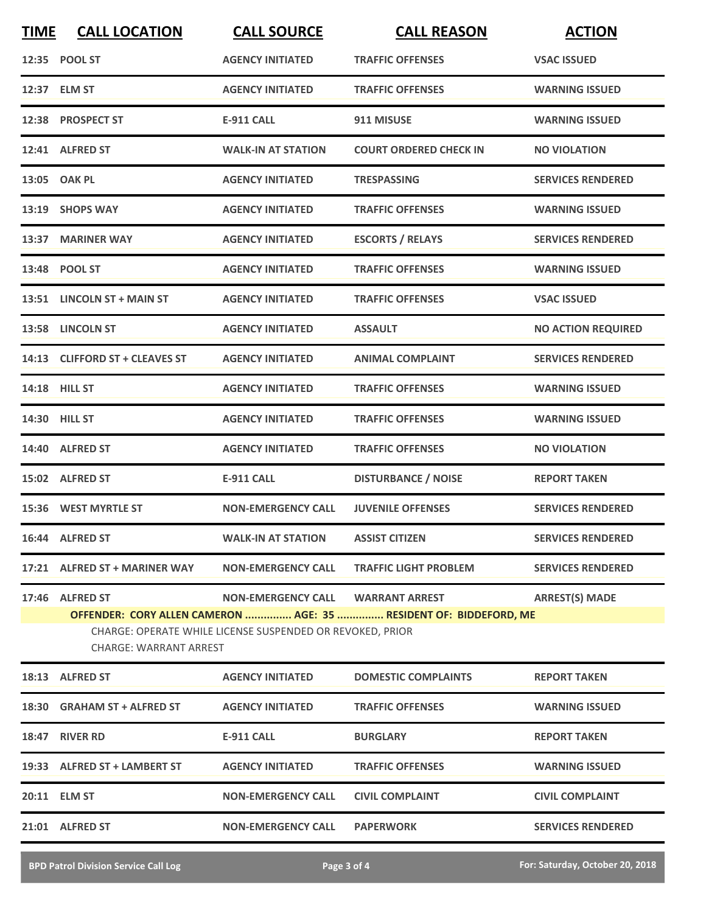| <b>TIME</b>                                                                                                                                                                                                                                      | <b>CALL LOCATION</b>           | <b>CALL SOURCE</b>        | <b>CALL REASON</b>            | <b>ACTION</b>             |
|--------------------------------------------------------------------------------------------------------------------------------------------------------------------------------------------------------------------------------------------------|--------------------------------|---------------------------|-------------------------------|---------------------------|
|                                                                                                                                                                                                                                                  | 12:35 POOL ST                  | <b>AGENCY INITIATED</b>   | <b>TRAFFIC OFFENSES</b>       | <b>VSAC ISSUED</b>        |
|                                                                                                                                                                                                                                                  | 12:37 ELM ST                   | <b>AGENCY INITIATED</b>   | <b>TRAFFIC OFFENSES</b>       | <b>WARNING ISSUED</b>     |
|                                                                                                                                                                                                                                                  | 12:38 PROSPECT ST              | <b>E-911 CALL</b>         | 911 MISUSE                    | <b>WARNING ISSUED</b>     |
|                                                                                                                                                                                                                                                  | 12:41 ALFRED ST                | <b>WALK-IN AT STATION</b> | <b>COURT ORDERED CHECK IN</b> | <b>NO VIOLATION</b>       |
|                                                                                                                                                                                                                                                  | 13:05 OAK PL                   | <b>AGENCY INITIATED</b>   | <b>TRESPASSING</b>            | <b>SERVICES RENDERED</b>  |
|                                                                                                                                                                                                                                                  | 13:19 SHOPS WAY                | <b>AGENCY INITIATED</b>   | <b>TRAFFIC OFFENSES</b>       | <b>WARNING ISSUED</b>     |
|                                                                                                                                                                                                                                                  | 13:37 MARINER WAY              | <b>AGENCY INITIATED</b>   | <b>ESCORTS / RELAYS</b>       | <b>SERVICES RENDERED</b>  |
|                                                                                                                                                                                                                                                  | 13:48 POOL ST                  | <b>AGENCY INITIATED</b>   | <b>TRAFFIC OFFENSES</b>       | <b>WARNING ISSUED</b>     |
|                                                                                                                                                                                                                                                  | 13:51 LINCOLN ST + MAIN ST     | <b>AGENCY INITIATED</b>   | <b>TRAFFIC OFFENSES</b>       | <b>VSAC ISSUED</b>        |
|                                                                                                                                                                                                                                                  | 13:58 LINCOLN ST               | <b>AGENCY INITIATED</b>   | <b>ASSAULT</b>                | <b>NO ACTION REQUIRED</b> |
|                                                                                                                                                                                                                                                  | 14:13 CLIFFORD ST + CLEAVES ST | <b>AGENCY INITIATED</b>   | <b>ANIMAL COMPLAINT</b>       | <b>SERVICES RENDERED</b>  |
|                                                                                                                                                                                                                                                  | 14:18 HILL ST                  | <b>AGENCY INITIATED</b>   | <b>TRAFFIC OFFENSES</b>       | <b>WARNING ISSUED</b>     |
|                                                                                                                                                                                                                                                  | 14:30 HILL ST                  | <b>AGENCY INITIATED</b>   | <b>TRAFFIC OFFENSES</b>       | <b>WARNING ISSUED</b>     |
|                                                                                                                                                                                                                                                  | 14:40 ALFRED ST                | <b>AGENCY INITIATED</b>   | <b>TRAFFIC OFFENSES</b>       | <b>NO VIOLATION</b>       |
|                                                                                                                                                                                                                                                  | 15:02 ALFRED ST                | <b>E-911 CALL</b>         | <b>DISTURBANCE / NOISE</b>    | <b>REPORT TAKEN</b>       |
|                                                                                                                                                                                                                                                  | 15:36 WEST MYRTLE ST           | <b>NON-EMERGENCY CALL</b> | <b>JUVENILE OFFENSES</b>      | <b>SERVICES RENDERED</b>  |
|                                                                                                                                                                                                                                                  | 16:44 ALFRED ST                | <b>WALK-IN AT STATION</b> | <b>ASSIST CITIZEN</b>         | <b>SERVICES RENDERED</b>  |
|                                                                                                                                                                                                                                                  | 17:21 ALFRED ST + MARINER WAY  | <b>NON-EMERGENCY CALL</b> | <b>TRAFFIC LIGHT PROBLEM</b>  | <b>SERVICES RENDERED</b>  |
| <b>ARREST(S) MADE</b><br>17:46 ALFRED ST<br>NON-EMERGENCY CALL WARRANT ARREST<br>OFFENDER: CORY ALLEN CAMERON  AGE: 35  RESIDENT OF: BIDDEFORD, ME<br>CHARGE: OPERATE WHILE LICENSE SUSPENDED OR REVOKED, PRIOR<br><b>CHARGE: WARRANT ARREST</b> |                                |                           |                               |                           |
|                                                                                                                                                                                                                                                  | 18:13 ALFRED ST                | <b>AGENCY INITIATED</b>   | <b>DOMESTIC COMPLAINTS</b>    | <b>REPORT TAKEN</b>       |
|                                                                                                                                                                                                                                                  | 18:30 GRAHAM ST + ALFRED ST    | <b>AGENCY INITIATED</b>   | <b>TRAFFIC OFFENSES</b>       | <b>WARNING ISSUED</b>     |
|                                                                                                                                                                                                                                                  | 18:47 RIVER RD                 | E-911 CALL                | <b>BURGLARY</b>               | <b>REPORT TAKEN</b>       |
|                                                                                                                                                                                                                                                  | 19:33 ALFRED ST + LAMBERT ST   | <b>AGENCY INITIATED</b>   | <b>TRAFFIC OFFENSES</b>       | <b>WARNING ISSUED</b>     |
|                                                                                                                                                                                                                                                  | 20:11 ELM ST                   | <b>NON-EMERGENCY CALL</b> | <b>CIVIL COMPLAINT</b>        | <b>CIVIL COMPLAINT</b>    |
|                                                                                                                                                                                                                                                  | 21:01 ALFRED ST                | <b>NON-EMERGENCY CALL</b> | <b>PAPERWORK</b>              | <b>SERVICES RENDERED</b>  |